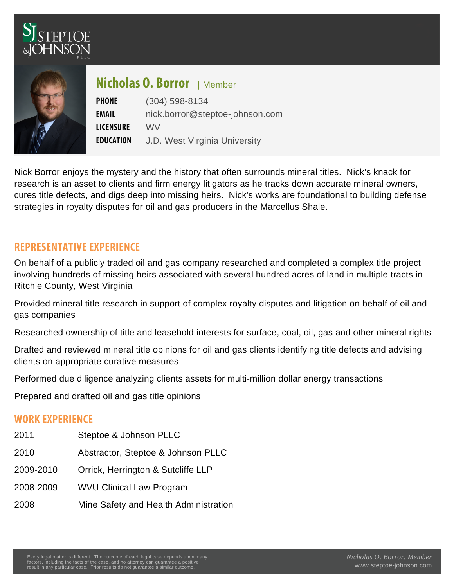## $N$ icholas  $\mathbb{Q}_{\text{embe}}$ Borror

PHONE (304) 598-8134 EMAIL [nick.borror@steptoe-johnson.com](mailto:nick.borror@steptoe-johnson.com) LICENSWRE E D U C A TJD West Virginia University

Nick Borror enjoys the mystery and the history that often surrounds mineral titles. Nick's knack for research is an asset to clients and firm energy litigators as he tracks down accurate mineral owners, cures title defects, and digs deep into missing heirs. Nick's works are foundational to building defense strategies in royalty disputes for oil and gas producers in the Marcellus Shale.

## REPRESENTATIVE EXPERIENCE

On behalf of a publicly traded oil and gas company researched and completed a complex title project involving hundreds of missing heirs associated with several hundred acres of land in multiple tracts in Ritchie County, West Virginia

Provided mineral title research in support of complex royalty disputes and litigation on behalf of oil and gas companies

Researched ownership of title and leasehold interests for surface, coal, oil, gas and other mineral rights

Drafted and reviewed mineral title opinions for oil and gas clients identifying title defects and advising clients on appropriate curative measures

Performed due diligence analyzing clients assets for multi-million dollar energy transactions

Prepared and drafted oil and gas title opinions

## WORK EXPERIENCE

- 2011 Steptoe & Johnson PLLC 2010 Abstractor, Steptoe & Johnson PLLC 2009-2010 Orrick, Herrington & Sutcliffe LLP 2008-2009 WVU Clinical Law Program
- 
- 2008 Mine Safety and Health Administration